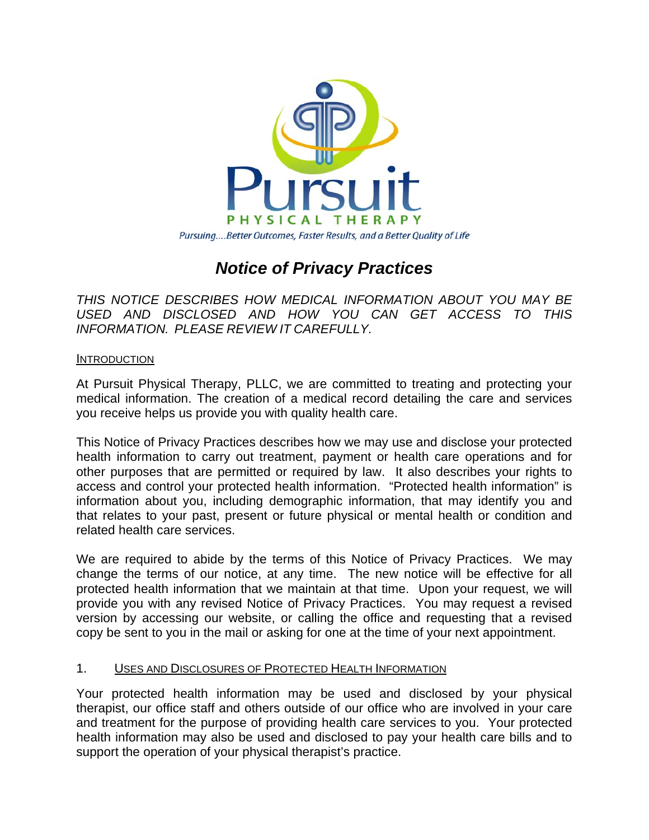

# *Notice of Privacy Practices*

*THIS NOTICE DESCRIBES HOW MEDICAL INFORMATION ABOUT YOU MAY BE USED AND DISCLOSED AND HOW YOU CAN GET ACCESS TO THIS INFORMATION. PLEASE REVIEW IT CAREFULLY.* 

#### **INTRODUCTION**

At Pursuit Physical Therapy, PLLC, we are committed to treating and protecting your medical information. The creation of a medical record detailing the care and services you receive helps us provide you with quality health care.

This Notice of Privacy Practices describes how we may use and disclose your protected health information to carry out treatment, payment or health care operations and for other purposes that are permitted or required by law. It also describes your rights to access and control your protected health information. "Protected health information" is information about you, including demographic information, that may identify you and that relates to your past, present or future physical or mental health or condition and related health care services.

We are required to abide by the terms of this Notice of Privacy Practices. We may change the terms of our notice, at any time. The new notice will be effective for all protected health information that we maintain at that time. Upon your request, we will provide you with any revised Notice of Privacy Practices. You may request a revised version by accessing our website, or calling the office and requesting that a revised copy be sent to you in the mail or asking for one at the time of your next appointment.

# 1. USES AND DISCLOSURES OF PROTECTED HEALTH INFORMATION

Your protected health information may be used and disclosed by your physical therapist, our office staff and others outside of our office who are involved in your care and treatment for the purpose of providing health care services to you. Your protected health information may also be used and disclosed to pay your health care bills and to support the operation of your physical therapist's practice.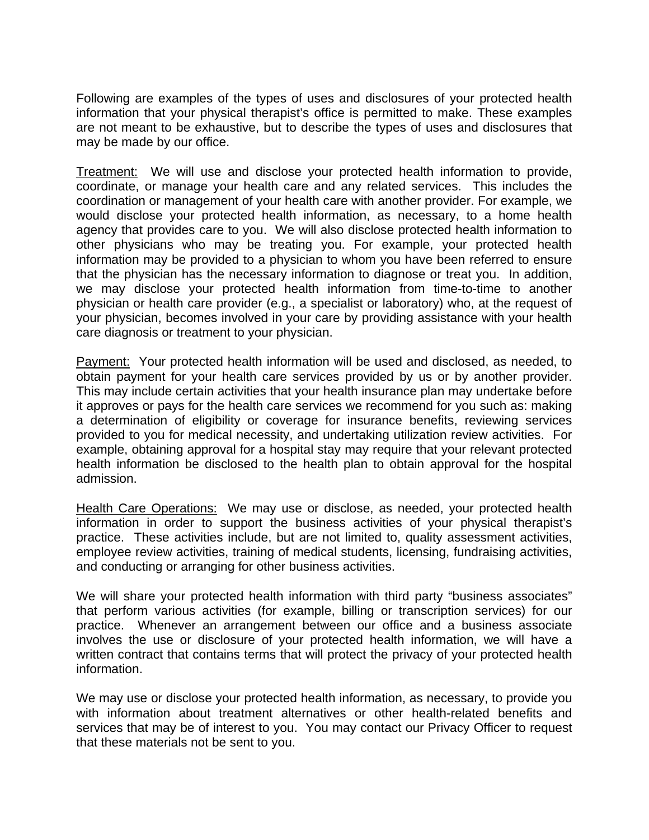Following are examples of the types of uses and disclosures of your protected health information that your physical therapist's office is permitted to make. These examples are not meant to be exhaustive, but to describe the types of uses and disclosures that may be made by our office.

**Treatment:** We will use and disclose your protected health information to provide, coordinate, or manage your health care and any related services. This includes the coordination or management of your health care with another provider. For example, we would disclose your protected health information, as necessary, to a home health agency that provides care to you. We will also disclose protected health information to other physicians who may be treating you. For example, your protected health information may be provided to a physician to whom you have been referred to ensure that the physician has the necessary information to diagnose or treat you. In addition, we may disclose your protected health information from time-to-time to another physician or health care provider (e.g., a specialist or laboratory) who, at the request of your physician, becomes involved in your care by providing assistance with your health care diagnosis or treatment to your physician.

Payment: Your protected health information will be used and disclosed, as needed, to obtain payment for your health care services provided by us or by another provider. This may include certain activities that your health insurance plan may undertake before it approves or pays for the health care services we recommend for you such as: making a determination of eligibility or coverage for insurance benefits, reviewing services provided to you for medical necessity, and undertaking utilization review activities. For example, obtaining approval for a hospital stay may require that your relevant protected health information be disclosed to the health plan to obtain approval for the hospital admission.

Health Care Operations: We may use or disclose, as needed, your protected health information in order to support the business activities of your physical therapist's practice. These activities include, but are not limited to, quality assessment activities, employee review activities, training of medical students, licensing, fundraising activities, and conducting or arranging for other business activities.

We will share your protected health information with third party "business associates" that perform various activities (for example, billing or transcription services) for our practice. Whenever an arrangement between our office and a business associate involves the use or disclosure of your protected health information, we will have a written contract that contains terms that will protect the privacy of your protected health information.

We may use or disclose your protected health information, as necessary, to provide you with information about treatment alternatives or other health-related benefits and services that may be of interest to you. You may contact our Privacy Officer to request that these materials not be sent to you.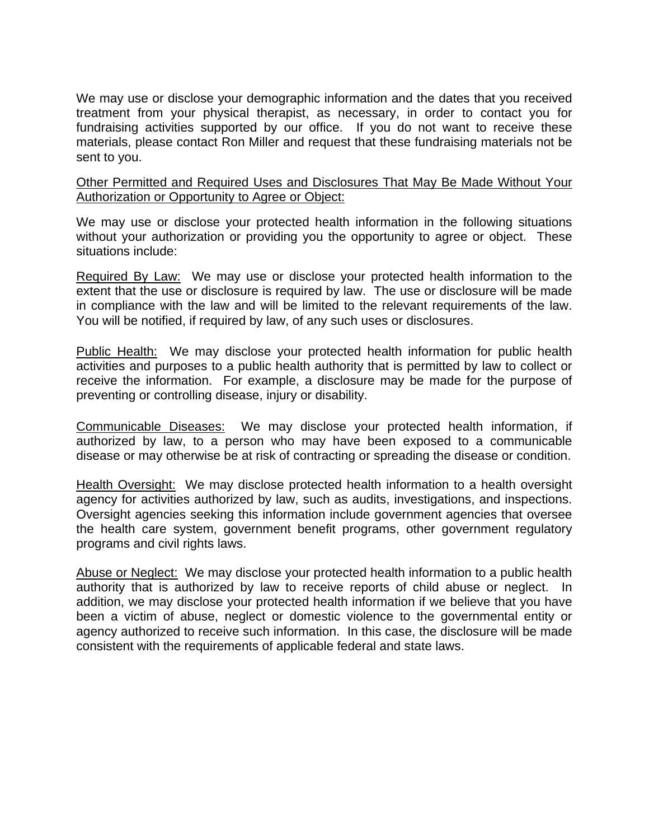We may use or disclose your demographic information and the dates that you received treatment from your physical therapist, as necessary, in order to contact you for fundraising activities supported by our office. If you do not want to receive these materials, please contact Ron Miller and request that these fundraising materials not be sent to you.

Other Permitted and Required Uses and Disclosures That May Be Made Without Your Authorization or Opportunity to Agree or Object:

We may use or disclose your protected health information in the following situations without your authorization or providing you the opportunity to agree or object. These situations include:

Required By Law: We may use or disclose your protected health information to the extent that the use or disclosure is required by law. The use or disclosure will be made in compliance with the law and will be limited to the relevant requirements of the law. You will be notified, if required by law, of any such uses or disclosures.

Public Health: We may disclose your protected health information for public health activities and purposes to a public health authority that is permitted by law to collect or receive the information. For example, a disclosure may be made for the purpose of preventing or controlling disease, injury or disability.

Communicable Diseases: We may disclose your protected health information, if authorized by law, to a person who may have been exposed to a communicable disease or may otherwise be at risk of contracting or spreading the disease or condition.

Health Oversight: We may disclose protected health information to a health oversight agency for activities authorized by law, such as audits, investigations, and inspections. Oversight agencies seeking this information include government agencies that oversee the health care system, government benefit programs, other government regulatory programs and civil rights laws.

Abuse or Neglect: We may disclose your protected health information to a public health authority that is authorized by law to receive reports of child abuse or neglect. In addition, we may disclose your protected health information if we believe that you have been a victim of abuse, neglect or domestic violence to the governmental entity or agency authorized to receive such information. In this case, the disclosure will be made consistent with the requirements of applicable federal and state laws.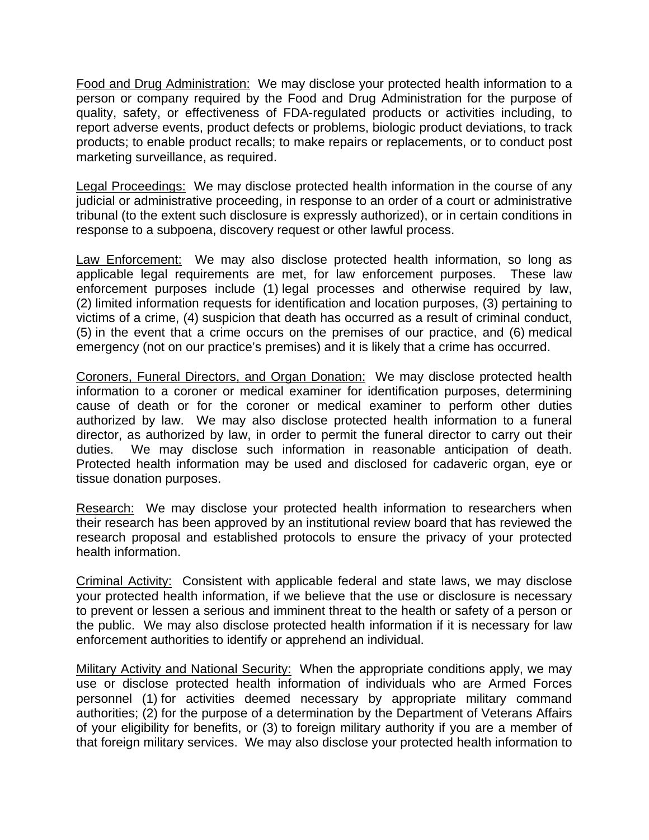Food and Drug Administration: We may disclose your protected health information to a person or company required by the Food and Drug Administration for the purpose of quality, safety, or effectiveness of FDA-regulated products or activities including, to report adverse events, product defects or problems, biologic product deviations, to track products; to enable product recalls; to make repairs or replacements, or to conduct post marketing surveillance, as required.

Legal Proceedings: We may disclose protected health information in the course of any judicial or administrative proceeding, in response to an order of a court or administrative tribunal (to the extent such disclosure is expressly authorized), or in certain conditions in response to a subpoena, discovery request or other lawful process.

Law Enforcement: We may also disclose protected health information, so long as applicable legal requirements are met, for law enforcement purposes. These law enforcement purposes include (1) legal processes and otherwise required by law, (2) limited information requests for identification and location purposes, (3) pertaining to victims of a crime, (4) suspicion that death has occurred as a result of criminal conduct, (5) in the event that a crime occurs on the premises of our practice, and (6) medical emergency (not on our practice's premises) and it is likely that a crime has occurred.

Coroners, Funeral Directors, and Organ Donation: We may disclose protected health information to a coroner or medical examiner for identification purposes, determining cause of death or for the coroner or medical examiner to perform other duties authorized by law. We may also disclose protected health information to a funeral director, as authorized by law, in order to permit the funeral director to carry out their duties. We may disclose such information in reasonable anticipation of death. Protected health information may be used and disclosed for cadaveric organ, eye or tissue donation purposes.

Research: We may disclose your protected health information to researchers when their research has been approved by an institutional review board that has reviewed the research proposal and established protocols to ensure the privacy of your protected health information.

Criminal Activity: Consistent with applicable federal and state laws, we may disclose your protected health information, if we believe that the use or disclosure is necessary to prevent or lessen a serious and imminent threat to the health or safety of a person or the public. We may also disclose protected health information if it is necessary for law enforcement authorities to identify or apprehend an individual.

Military Activity and National Security: When the appropriate conditions apply, we may use or disclose protected health information of individuals who are Armed Forces personnel (1) for activities deemed necessary by appropriate military command authorities; (2) for the purpose of a determination by the Department of Veterans Affairs of your eligibility for benefits, or (3) to foreign military authority if you are a member of that foreign military services. We may also disclose your protected health information to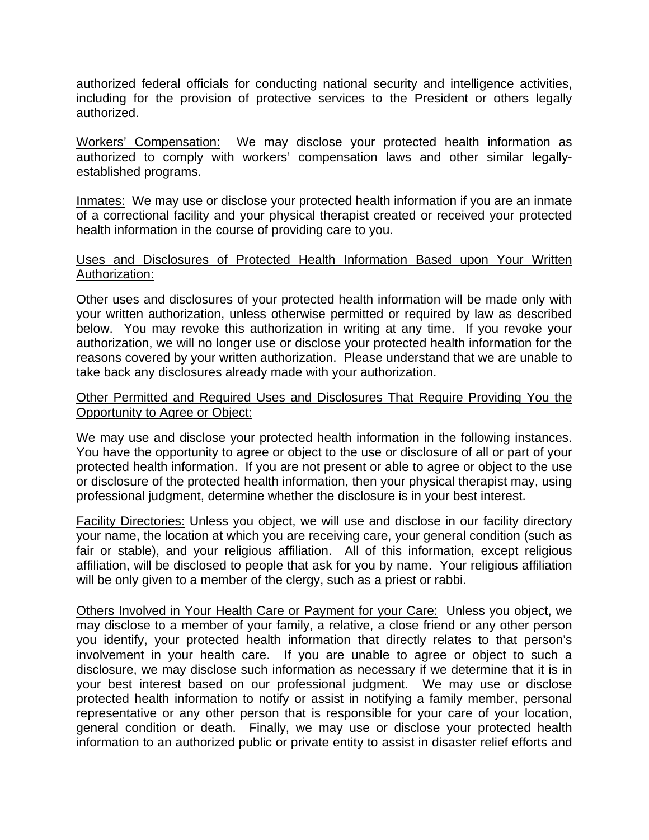authorized federal officials for conducting national security and intelligence activities, including for the provision of protective services to the President or others legally authorized.

Workers' Compensation: We may disclose your protected health information as authorized to comply with workers' compensation laws and other similar legallyestablished programs.

Inmates: We may use or disclose your protected health information if you are an inmate of a correctional facility and your physical therapist created or received your protected health information in the course of providing care to you.

#### Uses and Disclosures of Protected Health Information Based upon Your Written Authorization:

Other uses and disclosures of your protected health information will be made only with your written authorization, unless otherwise permitted or required by law as described below. You may revoke this authorization in writing at any time. If you revoke your authorization, we will no longer use or disclose your protected health information for the reasons covered by your written authorization. Please understand that we are unable to take back any disclosures already made with your authorization.

## Other Permitted and Required Uses and Disclosures That Require Providing You the Opportunity to Agree or Object:

We may use and disclose your protected health information in the following instances. You have the opportunity to agree or object to the use or disclosure of all or part of your protected health information. If you are not present or able to agree or object to the use or disclosure of the protected health information, then your physical therapist may, using professional judgment, determine whether the disclosure is in your best interest.

Facility Directories: Unless you object, we will use and disclose in our facility directory your name, the location at which you are receiving care, your general condition (such as fair or stable), and your religious affiliation. All of this information, except religious affiliation, will be disclosed to people that ask for you by name. Your religious affiliation will be only given to a member of the clergy, such as a priest or rabbi.

Others Involved in Your Health Care or Payment for your Care: Unless you object, we may disclose to a member of your family, a relative, a close friend or any other person you identify, your protected health information that directly relates to that person's involvement in your health care. If you are unable to agree or object to such a disclosure, we may disclose such information as necessary if we determine that it is in your best interest based on our professional judgment. We may use or disclose protected health information to notify or assist in notifying a family member, personal representative or any other person that is responsible for your care of your location, general condition or death. Finally, we may use or disclose your protected health information to an authorized public or private entity to assist in disaster relief efforts and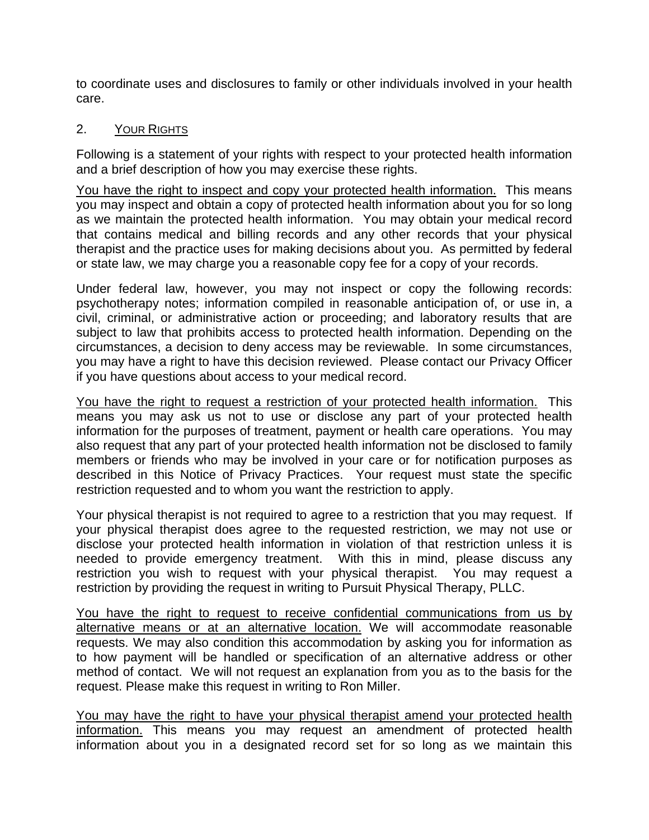to coordinate uses and disclosures to family or other individuals involved in your health care.

## 2. YOUR RIGHTS

Following is a statement of your rights with respect to your protected health information and a brief description of how you may exercise these rights.

You have the right to inspect and copy your protected health information. This means you may inspect and obtain a copy of protected health information about you for so long as we maintain the protected health information. You may obtain your medical record that contains medical and billing records and any other records that your physical therapist and the practice uses for making decisions about you. As permitted by federal or state law, we may charge you a reasonable copy fee for a copy of your records.

Under federal law, however, you may not inspect or copy the following records: psychotherapy notes; information compiled in reasonable anticipation of, or use in, a civil, criminal, or administrative action or proceeding; and laboratory results that are subject to law that prohibits access to protected health information. Depending on the circumstances, a decision to deny access may be reviewable. In some circumstances, you may have a right to have this decision reviewed. Please contact our Privacy Officer if you have questions about access to your medical record.

You have the right to request a restriction of your protected health information. This means you may ask us not to use or disclose any part of your protected health information for the purposes of treatment, payment or health care operations. You may also request that any part of your protected health information not be disclosed to family members or friends who may be involved in your care or for notification purposes as described in this Notice of Privacy Practices. Your request must state the specific restriction requested and to whom you want the restriction to apply.

Your physical therapist is not required to agree to a restriction that you may request. If your physical therapist does agree to the requested restriction, we may not use or disclose your protected health information in violation of that restriction unless it is needed to provide emergency treatment. With this in mind, please discuss any restriction you wish to request with your physical therapist. You may request a restriction by providing the request in writing to Pursuit Physical Therapy, PLLC.

You have the right to request to receive confidential communications from us by alternative means or at an alternative location. We will accommodate reasonable requests. We may also condition this accommodation by asking you for information as to how payment will be handled or specification of an alternative address or other method of contact. We will not request an explanation from you as to the basis for the request. Please make this request in writing to Ron Miller.

You may have the right to have your physical therapist amend your protected health information. This means you may request an amendment of protected health information about you in a designated record set for so long as we maintain this